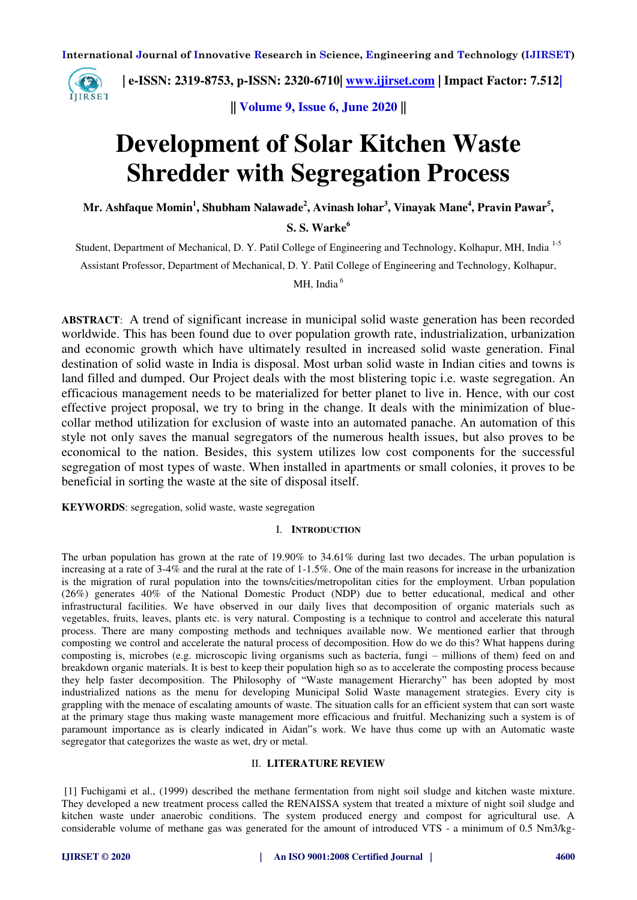

 **| e-ISSN: 2319-8753, p-ISSN: 2320-6710| [www.ijirset.com](http://www.ijirset.com/) | Impact Factor: 7.512|**

**|| Volume 9, Issue 6, June 2020 ||** 

# **Development of Solar Kitchen Waste Shredder with Segregation Process**

**Mr. Ashfaque Momin<sup>1</sup> , Shubham Nalawade<sup>2</sup> , Avinash lohar<sup>3</sup> , Vinayak Mane<sup>4</sup> , Pravin Pawar<sup>5</sup> ,** 

**S. S. Warke<sup>6</sup>**

Student, Department of Mechanical, D. Y. Patil College of Engineering and Technology, Kolhapur, MH, India 1-5

Assistant Professor, Department of Mechanical, D. Y. Patil College of Engineering and Technology, Kolhapur,

MH, India $<sup>6</sup>$ </sup>

**ABSTRACT**: A trend of significant increase in municipal solid waste generation has been recorded worldwide. This has been found due to over population growth rate, industrialization, urbanization and economic growth which have ultimately resulted in increased solid waste generation. Final destination of solid waste in India is disposal. Most urban solid waste in Indian cities and towns is land filled and dumped. Our Project deals with the most blistering topic i.e. waste segregation. An efficacious management needs to be materialized for better planet to live in. Hence, with our cost effective project proposal, we try to bring in the change. It deals with the minimization of bluecollar method utilization for exclusion of waste into an automated panache. An automation of this style not only saves the manual segregators of the numerous health issues, but also proves to be economical to the nation. Besides, this system utilizes low cost components for the successful segregation of most types of waste. When installed in apartments or small colonies, it proves to be beneficial in sorting the waste at the site of disposal itself.

**KEYWORDS**: segregation, solid waste, waste segregation

#### I. **INTRODUCTION**

The urban population has grown at the rate of 19.90% to 34.61% during last two decades. The urban population is increasing at a rate of 3-4% and the rural at the rate of 1-1.5%. One of the main reasons for increase in the urbanization is the migration of rural population into the towns/cities/metropolitan cities for the employment. Urban population (26%) generates 40% of the National Domestic Product (NDP) due to better educational, medical and other infrastructural facilities. We have observed in our daily lives that decomposition of organic materials such as vegetables, fruits, leaves, plants etc. is very natural. Composting is a technique to control and accelerate this natural process. There are many composting methods and techniques available now. We mentioned earlier that through composting we control and accelerate the natural process of decomposition. How do we do this? What happens during composting is, microbes (e.g. microscopic living organisms such as bacteria, fungi – millions of them) feed on and breakdown organic materials. It is best to keep their population high so as to accelerate the composting process because they help faster decomposition. The Philosophy of "Waste management Hierarchy" has been adopted by most industrialized nations as the menu for developing Municipal Solid Waste management strategies. Every city is grappling with the menace of escalating amounts of waste. The situation calls for an efficient system that can sort waste at the primary stage thus making waste management more efficacious and fruitful. Mechanizing such a system is of paramount importance as is clearly indicated in Aidan"s work. We have thus come up with an Automatic waste segregator that categorizes the waste as wet, dry or metal.

#### II. **LITERATURE REVIEW**

 [1] Fuchigami et al., (1999) described the methane fermentation from night soil sludge and kitchen waste mixture. They developed a new treatment process called the RENAISSA system that treated a mixture of night soil sludge and kitchen waste under anaerobic conditions. The system produced energy and compost for agricultural use. A considerable volume of methane gas was generated for the amount of introduced VTS - a minimum of 0.5 Nm3/kg-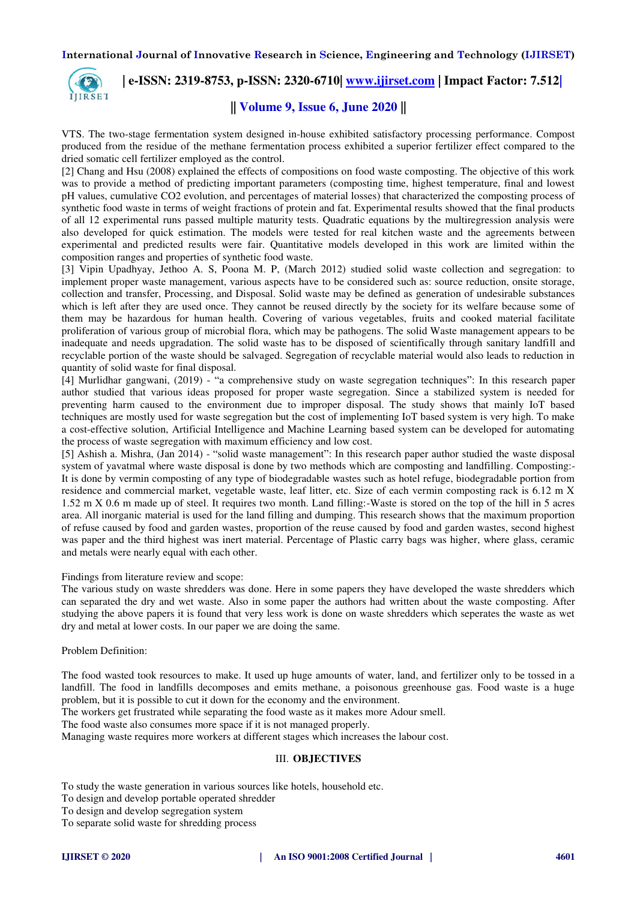

 **| e-ISSN: 2319-8753, p-ISSN: 2320-6710| [www.ijirset.com](http://www.ijirset.com/) | Impact Factor: 7.512|**

### **|| Volume 9, Issue 6, June 2020 ||**

VTS. The two-stage fermentation system designed in-house exhibited satisfactory processing performance. Compost produced from the residue of the methane fermentation process exhibited a superior fertilizer effect compared to the dried somatic cell fertilizer employed as the control.

[2] Chang and Hsu (2008) explained the effects of compositions on food waste composting. The objective of this work was to provide a method of predicting important parameters (composting time, highest temperature, final and lowest pH values, cumulative CO2 evolution, and percentages of material losses) that characterized the composting process of synthetic food waste in terms of weight fractions of protein and fat. Experimental results showed that the final products of all 12 experimental runs passed multiple maturity tests. Quadratic equations by the multiregression analysis were also developed for quick estimation. The models were tested for real kitchen waste and the agreements between experimental and predicted results were fair. Quantitative models developed in this work are limited within the composition ranges and properties of synthetic food waste.

[3] Vipin Upadhyay, Jethoo A. S, Poona M. P, (March 2012) studied solid waste collection and segregation: to implement proper waste management, various aspects have to be considered such as: source reduction, onsite storage, collection and transfer, Processing, and Disposal. Solid waste may be defined as generation of undesirable substances which is left after they are used once. They cannot be reused directly by the society for its welfare because some of them may be hazardous for human health. Covering of various vegetables, fruits and cooked material facilitate proliferation of various group of microbial flora, which may be pathogens. The solid Waste management appears to be inadequate and needs upgradation. The solid waste has to be disposed of scientifically through sanitary landfill and recyclable portion of the waste should be salvaged. Segregation of recyclable material would also leads to reduction in quantity of solid waste for final disposal.

[4] Murlidhar gangwani, (2019) - "a comprehensive study on waste segregation techniques": In this research paper author studied that various ideas proposed for proper waste segregation. Since a stabilized system is needed for preventing harm caused to the environment due to improper disposal. The study shows that mainly IoT based techniques are mostly used for waste segregation but the cost of implementing IoT based system is very high. To make a cost-effective solution, Artificial Intelligence and Machine Learning based system can be developed for automating the process of waste segregation with maximum efficiency and low cost.

[5] Ashish a. Mishra, (Jan 2014) - "solid waste management": In this research paper author studied the waste disposal system of yavatmal where waste disposal is done by two methods which are composting and landfilling. Composting:- It is done by vermin composting of any type of biodegradable wastes such as hotel refuge, biodegradable portion from residence and commercial market, vegetable waste, leaf litter, etc. Size of each vermin composting rack is 6.12 m X 1.52 m X 0.6 m made up of steel. It requires two month. Land filling:-Waste is stored on the top of the hill in 5 acres area. All inorganic material is used for the land filling and dumping. This research shows that the maximum proportion of refuse caused by food and garden wastes, proportion of the reuse caused by food and garden wastes, second highest was paper and the third highest was inert material. Percentage of Plastic carry bags was higher, where glass, ceramic and metals were nearly equal with each other.

Findings from literature review and scope:

The various study on waste shredders was done. Here in some papers they have developed the waste shredders which can separated the dry and wet waste. Also in some paper the authors had written about the waste composting. After studying the above papers it is found that very less work is done on waste shredders which seperates the waste as wet dry and metal at lower costs. In our paper we are doing the same.

#### Problem Definition:

The food wasted took resources to make. It used up huge amounts of water, land, and fertilizer only to be tossed in a landfill. The food in landfills decomposes and emits methane, a poisonous greenhouse gas. Food waste is a huge problem, but it is possible to cut it down for the economy and the environment.

The workers get frustrated while separating the food waste as it makes more Adour smell.

The food waste also consumes more space if it is not managed properly.

Managing waste requires more workers at different stages which increases the labour cost.

#### III. **OBJECTIVES**

To study the waste generation in various sources like hotels, household etc.

To design and develop portable operated shredder

To design and develop segregation system

To separate solid waste for shredding process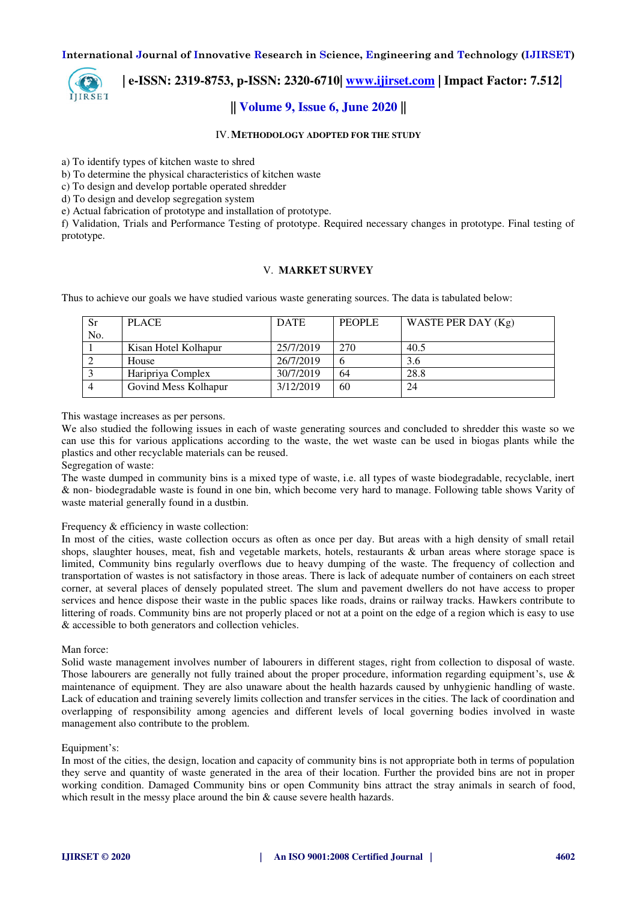

## **| e-ISSN: 2319-8753, p-ISSN: 2320-6710| [www.ijirset.com](http://www.ijirset.com/) | Impact Factor: 7.512|**

### **|| Volume 9, Issue 6, June 2020 ||**

#### IV.**METHODOLOGY ADOPTED FOR THE STUDY**

a) To identify types of kitchen waste to shred

b) To determine the physical characteristics of kitchen waste

c) To design and develop portable operated shredder

d) To design and develop segregation system

e) Actual fabrication of prototype and installation of prototype.

f) Validation, Trials and Performance Testing of prototype. Required necessary changes in prototype. Final testing of prototype.

#### V. **MARKET SURVEY**

Thus to achieve our goals we have studied various waste generating sources. The data is tabulated below:

| Sr  | <b>PLACE</b>         | <b>DATE</b> | <b>PEOPLE</b> | WASTE PER DAY (Kg) |
|-----|----------------------|-------------|---------------|--------------------|
| No. |                      |             |               |                    |
|     | Kisan Hotel Kolhapur | 25/7/2019   | 270           | 40.5               |
|     | House                | 26/7/2019   |               | 3.6                |
|     | Haripriya Complex    | 30/7/2019   | 64            | 28.8               |
|     | Govind Mess Kolhapur | 3/12/2019   | 60            | 24                 |

This wastage increases as per persons.

We also studied the following issues in each of waste generating sources and concluded to shredder this waste so we can use this for various applications according to the waste, the wet waste can be used in biogas plants while the plastics and other recyclable materials can be reused.

#### Segregation of waste:

The waste dumped in community bins is a mixed type of waste, i.e. all types of waste biodegradable, recyclable, inert & non- biodegradable waste is found in one bin, which become very hard to manage. Following table shows Varity of waste material generally found in a dustbin.

#### Frequency & efficiency in waste collection:

In most of the cities, waste collection occurs as often as once per day. But areas with a high density of small retail shops, slaughter houses, meat, fish and vegetable markets, hotels, restaurants & urban areas where storage space is limited, Community bins regularly overflows due to heavy dumping of the waste. The frequency of collection and transportation of wastes is not satisfactory in those areas. There is lack of adequate number of containers on each street corner, at several places of densely populated street. The slum and pavement dwellers do not have access to proper services and hence dispose their waste in the public spaces like roads, drains or railway tracks. Hawkers contribute to littering of roads. Community bins are not properly placed or not at a point on the edge of a region which is easy to use & accessible to both generators and collection vehicles.

#### Man force:

Solid waste management involves number of labourers in different stages, right from collection to disposal of waste. Those labourers are generally not fully trained about the proper procedure, information regarding equipment's, use & maintenance of equipment. They are also unaware about the health hazards caused by unhygienic handling of waste. Lack of education and training severely limits collection and transfer services in the cities. The lack of coordination and overlapping of responsibility among agencies and different levels of local governing bodies involved in waste management also contribute to the problem.

#### Equipment's:

In most of the cities, the design, location and capacity of community bins is not appropriate both in terms of population they serve and quantity of waste generated in the area of their location. Further the provided bins are not in proper working condition. Damaged Community bins or open Community bins attract the stray animals in search of food, which result in the messy place around the bin & cause severe health hazards.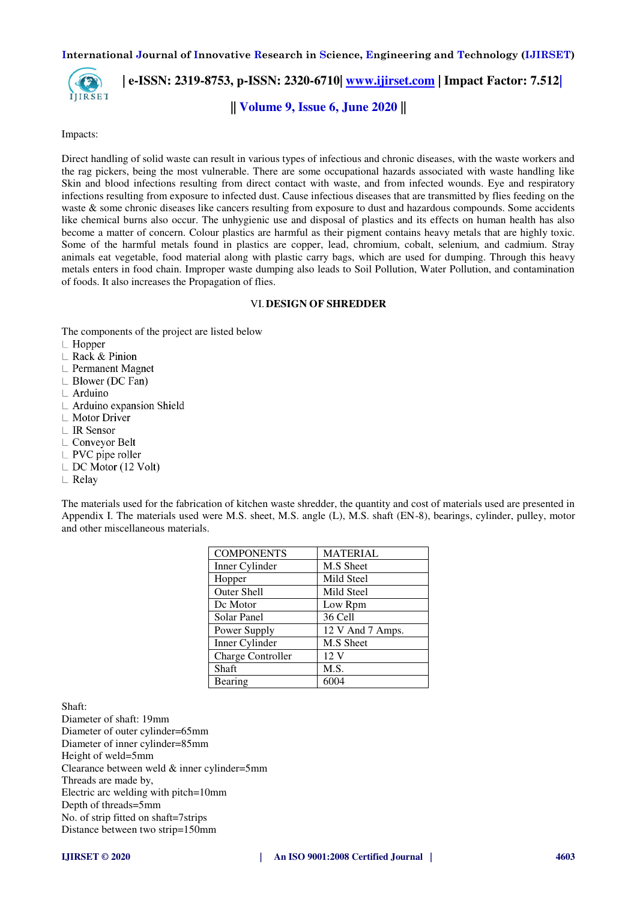

 **| e-ISSN: 2319-8753, p-ISSN: 2320-6710| [www.ijirset.com](http://www.ijirset.com/) | Impact Factor: 7.512|**

**|| Volume 9, Issue 6, June 2020 ||** 

Impacts:

Direct handling of solid waste can result in various types of infectious and chronic diseases, with the waste workers and the rag pickers, being the most vulnerable. There are some occupational hazards associated with waste handling like Skin and blood infections resulting from direct contact with waste, and from infected wounds. Eye and respiratory infections resulting from exposure to infected dust. Cause infectious diseases that are transmitted by flies feeding on the waste & some chronic diseases like cancers resulting from exposure to dust and hazardous compounds. Some accidents like chemical burns also occur. The unhygienic use and disposal of plastics and its effects on human health has also become a matter of concern. Colour plastics are harmful as their pigment contains heavy metals that are highly toxic. Some of the harmful metals found in plastics are copper, lead, chromium, cobalt, selenium, and cadmium. Stray animals eat vegetable, food material along with plastic carry bags, which are used for dumping. Through this heavy metals enters in food chain. Improper waste dumping also leads to Soil Pollution, Water Pollution, and contamination of foods. It also increases the Propagation of flies.

#### VI.**DESIGN OF SHREDDER**

The components of the project are listed below  $\Box$  Hopper

- 
- $\mathsf{L}$  Rack & Pinion
- $\mathrel{\sqsubset}$  Permanent Magnet
- $\perp$  Blower (DC Fan)
- $\perp$  Arduino
- $\mathsf{L}\;$  Arduino expansion Shield
- $\mathsf{L}$  Motor Driver
- | IR Sensor
- $\mathsf{L}$  Conveyor Belt
- $\perp$  PVC pipe roller
- $\perp$  DC Motor (12 Volt)
- $\mathsf{\perp}$  Relay

The materials used for the fabrication of kitchen waste shredder, the quantity and cost of materials used are presented in Appendix I. The materials used were M.S. sheet, M.S. angle (L), M.S. shaft (EN-8), bearings, cylinder, pulley, motor and other miscellaneous materials.

| <b>COMPONENTS</b>        | <b>MATERIAL</b>  |  |
|--------------------------|------------------|--|
| Inner Cylinder           | M.S Sheet        |  |
| Hopper                   | Mild Steel       |  |
| Outer Shell              | Mild Steel       |  |
| Dc Motor                 | Low Rpm          |  |
| Solar Panel              | 36 Cell          |  |
| Power Supply             | 12 V And 7 Amps. |  |
| Inner Cylinder           | M.S Sheet        |  |
| <b>Charge Controller</b> | 12 <sub>V</sub>  |  |
| Shaft                    | M.S.             |  |
| Bearing                  | 6004             |  |

Shaft:

Diameter of shaft: 19mm Diameter of outer cylinder=65mm Diameter of inner cylinder=85mm Height of weld=5mm Clearance between weld & inner cylinder=5mm Threads are made by, Electric arc welding with pitch=10mm Depth of threads=5mm No. of strip fitted on shaft=7strips Distance between two strip=150mm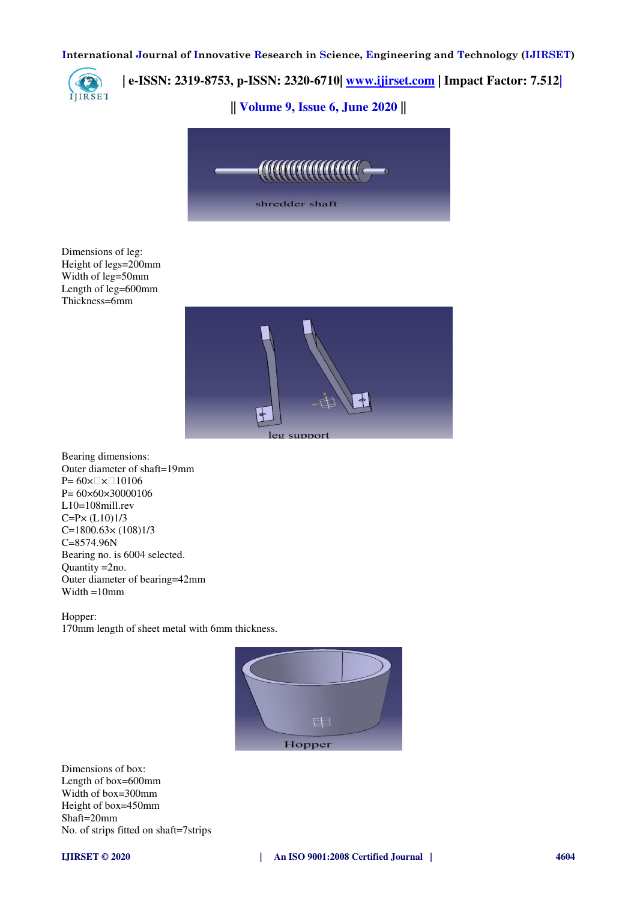

## **| e-ISSN: 2319-8753, p-ISSN: 2320-6710| [www.ijirset.com](http://www.ijirset.com/) | Impact Factor: 7.512|**

**|| Volume 9, Issue 6, June 2020 ||** 



Dimensions of leg: Height of legs=200mm Width of leg=50mm Length of leg=600mm Thickness=6mm



Bearing dimensions: Outer diameter of shaft=19mm  $P= 60 \times \square \times \square 10106$ P= 60×60×30000106 L10=108mill.rev C=P× (L10)1/3 C=1800.63× (108)1/3 C=8574.96N Bearing no. is 6004 selected. Quantity =2no. Outer diameter of bearing=42mm Width =10mm

Hopper:

170mm length of sheet metal with 6mm thickness.



Dimensions of box: Length of box=600mm Width of box=300mm Height of box=450mm Shaft=20mm No. of strips fitted on shaft=7strips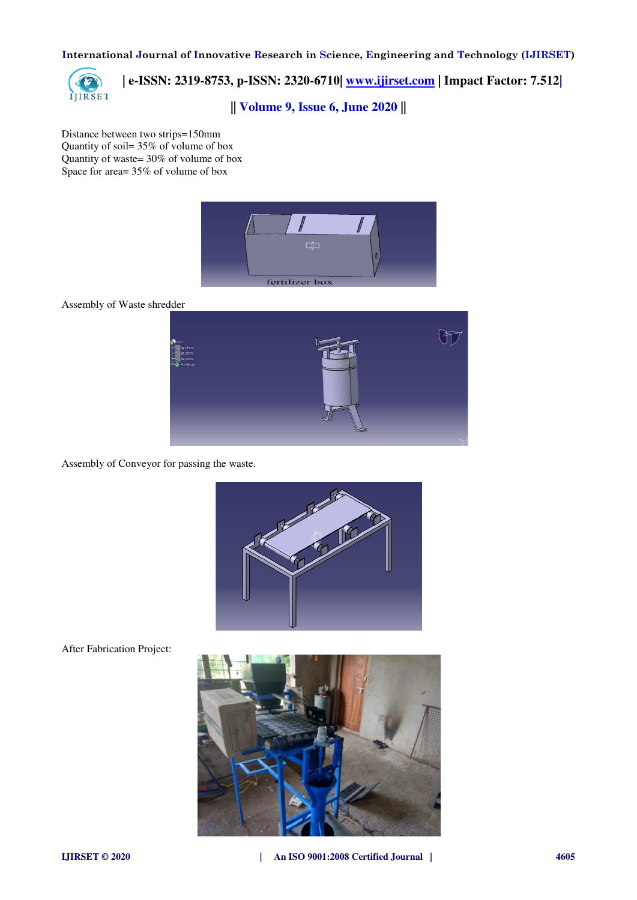

 **| e-ISSN: 2319-8753, p-ISSN: 2320-6710| [www.ijirset.com](http://www.ijirset.com/) | Impact Factor: 7.512|**

**|| Volume 9, Issue 6, June 2020 ||** 

Distance between two strips=150mm Quantity of soil= 35% of volume of box Quantity of waste= 30% of volume of box Space for area= 35% of volume of box



Assembly of Waste shredder



Assembly of Conveyor for passing the waste.



After Fabrication Project: